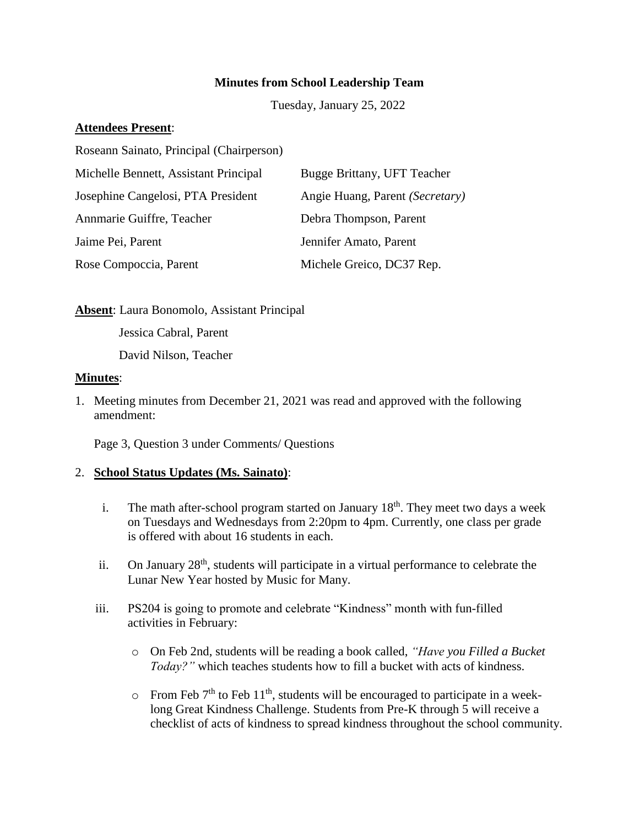### **Minutes from School Leadership Team**

Tuesday, January 25, 2022

## **Attendees Present**:

Roseann Sainato, Principal (Chairperson)

| Michelle Bennett, Assistant Principal | Bugge Brittany, UFT Teacher     |
|---------------------------------------|---------------------------------|
| Josephine Cangelosi, PTA President    | Angie Huang, Parent (Secretary) |
| Annmarie Guiffre, Teacher             | Debra Thompson, Parent          |
| Jaime Pei, Parent                     | Jennifer Amato, Parent          |
| Rose Compoccia, Parent                | Michele Greico, DC37 Rep.       |

**Absent**: Laura Bonomolo, Assistant Principal

Jessica Cabral, Parent

David Nilson, Teacher

#### **Minutes**:

1. Meeting minutes from December 21, 2021 was read and approved with the following amendment:

Page 3, Question 3 under Comments/ Questions

### 2. **School Status Updates (Ms. Sainato)**:

- i. The math after-school program started on January  $18<sup>th</sup>$ . They meet two days a week on Tuesdays and Wednesdays from 2:20pm to 4pm. Currently, one class per grade is offered with about 16 students in each.
- ii. On January  $28<sup>th</sup>$ , students will participate in a virtual performance to celebrate the Lunar New Year hosted by Music for Many.
- iii. PS204 is going to promote and celebrate "Kindness" month with fun-filled activities in February:
	- o On Feb 2nd, students will be reading a book called, *"Have you Filled a Bucket Today?"* which teaches students how to fill a bucket with acts of kindness.
	- $\circ$  From Feb 7<sup>th</sup> to Feb 11<sup>th</sup>, students will be encouraged to participate in a weeklong Great Kindness Challenge. Students from Pre-K through 5 will receive a checklist of acts of kindness to spread kindness throughout the school community.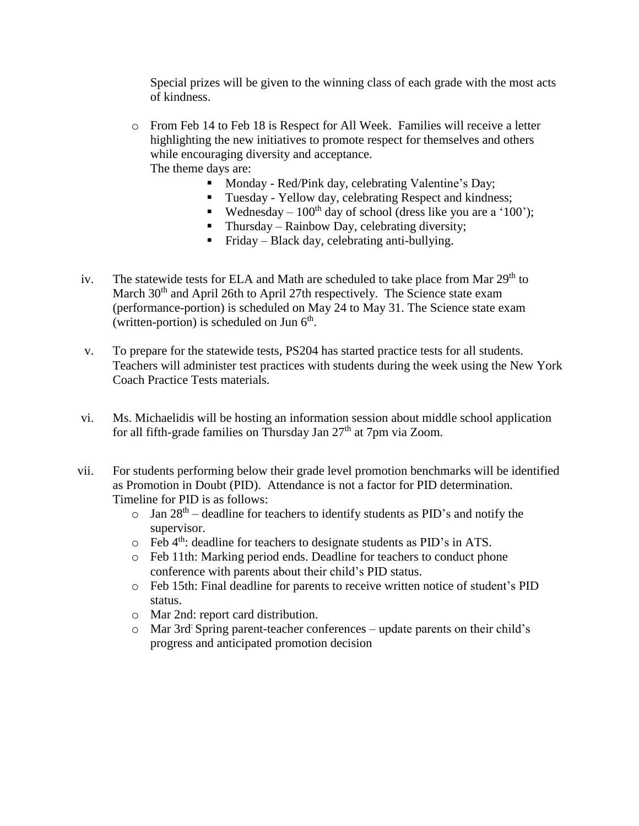Special prizes will be given to the winning class of each grade with the most acts of kindness.

- o From Feb 14 to Feb 18 is Respect for All Week. Families will receive a letter highlighting the new initiatives to promote respect for themselves and others while encouraging diversity and acceptance. The theme days are:
	- **Monday Red/Pink day, celebrating Valentine's Day;**
	- Tuesday Yellow day, celebrating Respect and kindness;
	- Wednesday  $100<sup>th</sup>$  day of school (dress like you are a '100');
	- Thursday Rainbow Day, celebrating diversity;
	- Friday Black day, celebrating anti-bullying.
- iv. The statewide tests for ELA and Math are scheduled to take place from Mar 29<sup>th</sup> to March 30<sup>th</sup> and April 26th to April 27th respectively. The Science state exam (performance-portion) is scheduled on May 24 to May 31. The Science state exam (written-portion) is scheduled on Jun  $6<sup>th</sup>$ .
- v. To prepare for the statewide tests, PS204 has started practice tests for all students. Teachers will administer test practices with students during the week using the New York Coach Practice Tests materials.
- vi. Ms. Michaelidis will be hosting an information session about middle school application for all fifth-grade families on Thursday Jan  $27<sup>th</sup>$  at 7pm via Zoom.
- vii. For students performing below their grade level promotion benchmarks will be identified as Promotion in Doubt (PID). Attendance is not a factor for PID determination. Timeline for PID is as follows:
	- $\circ$  Jan 28<sup>th</sup> deadline for teachers to identify students as PID's and notify the supervisor.
	- $\circ$  Feb 4<sup>th</sup>: deadline for teachers to designate students as PID's in ATS.
	- o Feb 11th: Marking period ends. Deadline for teachers to conduct phone conference with parents about their child's PID status.
	- o Feb 15th: Final deadline for parents to receive written notice of student's PID status.
	- o Mar 2nd: report card distribution.
	- o Mar 3rd: Spring parent-teacher conferences update parents on their child's progress and anticipated promotion decision